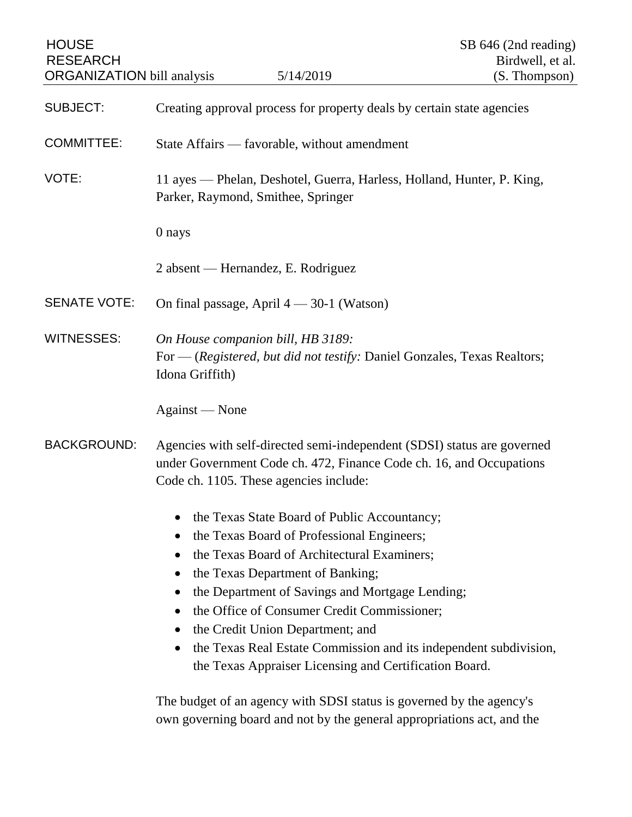| <b>HOUSE</b><br><b>RESEARCH</b><br><b>ORGANIZATION</b> bill analysis |                                                                                                                                                                                                                                                                                                                                                                                                                                                    | 5/14/2019                          | SB 646 (2nd reading)<br>Birdwell, et al.<br>(S. Thompson) |  |
|----------------------------------------------------------------------|----------------------------------------------------------------------------------------------------------------------------------------------------------------------------------------------------------------------------------------------------------------------------------------------------------------------------------------------------------------------------------------------------------------------------------------------------|------------------------------------|-----------------------------------------------------------|--|
| <b>SUBJECT:</b>                                                      | Creating approval process for property deals by certain state agencies                                                                                                                                                                                                                                                                                                                                                                             |                                    |                                                           |  |
| <b>COMMITTEE:</b>                                                    | State Affairs — favorable, without amendment                                                                                                                                                                                                                                                                                                                                                                                                       |                                    |                                                           |  |
| VOTE:                                                                | 11 ayes — Phelan, Deshotel, Guerra, Harless, Holland, Hunter, P. King,<br>Parker, Raymond, Smithee, Springer                                                                                                                                                                                                                                                                                                                                       |                                    |                                                           |  |
|                                                                      | 0 nays                                                                                                                                                                                                                                                                                                                                                                                                                                             |                                    |                                                           |  |
|                                                                      |                                                                                                                                                                                                                                                                                                                                                                                                                                                    | 2 absent — Hernandez, E. Rodriguez |                                                           |  |
| <b>SENATE VOTE:</b>                                                  | On final passage, April $4 - 30-1$ (Watson)                                                                                                                                                                                                                                                                                                                                                                                                        |                                    |                                                           |  |
| <b>WITNESSES:</b>                                                    | On House companion bill, HB 3189:<br>For - (Registered, but did not testify: Daniel Gonzales, Texas Realtors;<br>Idona Griffith)                                                                                                                                                                                                                                                                                                                   |                                    |                                                           |  |
|                                                                      | Against — None                                                                                                                                                                                                                                                                                                                                                                                                                                     |                                    |                                                           |  |
| <b>BACKGROUND:</b>                                                   | Agencies with self-directed semi-independent (SDSI) status are governed<br>under Government Code ch. 472, Finance Code ch. 16, and Occupations<br>Code ch. 1105. These agencies include:                                                                                                                                                                                                                                                           |                                    |                                                           |  |
|                                                                      | the Texas State Board of Public Accountancy;<br>the Texas Board of Professional Engineers;<br>the Texas Board of Architectural Examiners;<br>the Texas Department of Banking;<br>the Department of Savings and Mortgage Lending;<br>the Office of Consumer Credit Commissioner;<br>the Credit Union Department; and<br>the Texas Real Estate Commission and its independent subdivision,<br>the Texas Appraiser Licensing and Certification Board. |                                    |                                                           |  |
|                                                                      | The budget of an agency with SDSI status is governed by the agency's<br>own governing board and not by the general appropriations act, and the                                                                                                                                                                                                                                                                                                     |                                    |                                                           |  |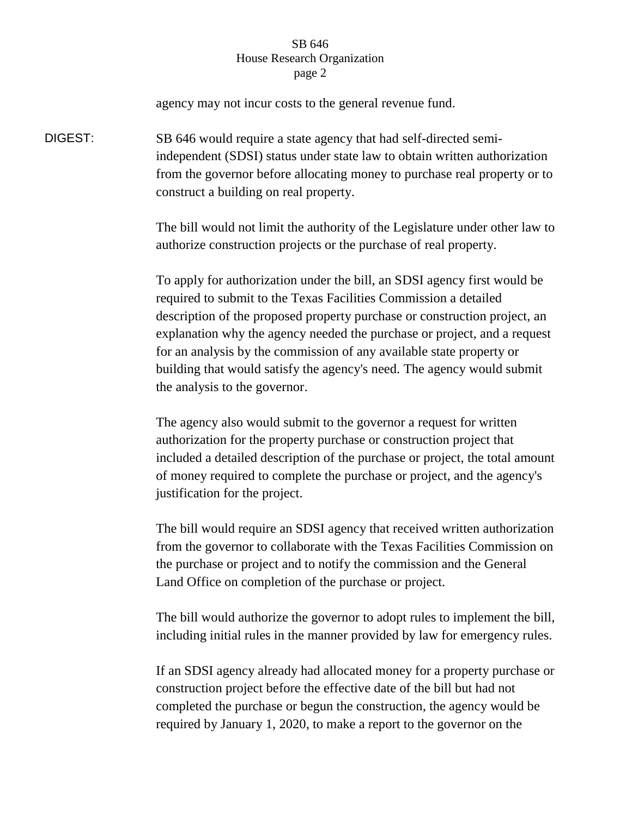## SB 646 House Research Organization page 2

agency may not incur costs to the general revenue fund. DIGEST: SB 646 would require a state agency that had self-directed semiindependent (SDSI) status under state law to obtain written authorization from the governor before allocating money to purchase real property or to construct a building on real property. The bill would not limit the authority of the Legislature under other law to authorize construction projects or the purchase of real property. To apply for authorization under the bill, an SDSI agency first would be

required to submit to the Texas Facilities Commission a detailed description of the proposed property purchase or construction project, an explanation why the agency needed the purchase or project, and a request for an analysis by the commission of any available state property or building that would satisfy the agency's need. The agency would submit the analysis to the governor.

The agency also would submit to the governor a request for written authorization for the property purchase or construction project that included a detailed description of the purchase or project, the total amount of money required to complete the purchase or project, and the agency's justification for the project.

The bill would require an SDSI agency that received written authorization from the governor to collaborate with the Texas Facilities Commission on the purchase or project and to notify the commission and the General Land Office on completion of the purchase or project.

The bill would authorize the governor to adopt rules to implement the bill, including initial rules in the manner provided by law for emergency rules.

If an SDSI agency already had allocated money for a property purchase or construction project before the effective date of the bill but had not completed the purchase or begun the construction, the agency would be required by January 1, 2020, to make a report to the governor on the